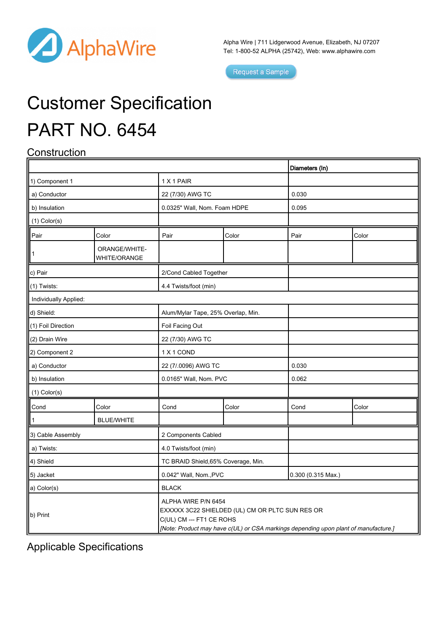

Alpha Wire | 711 Lidgerwood Avenue, Elizabeth, NJ 07207 Tel: 1-800-52 ALPHA (25742), Web: [www.alphawire.com](http://www.alphawire.com)

 $\overline{1}$ 

Request a Sample

# Customer Specification PART NO. 6454

## **Construction**

|                       |                               |                                                                                                                                                                                           |       | Diameters (In)       |       |  |
|-----------------------|-------------------------------|-------------------------------------------------------------------------------------------------------------------------------------------------------------------------------------------|-------|----------------------|-------|--|
| 1) Component 1        |                               | 1 X 1 PAIR                                                                                                                                                                                |       |                      |       |  |
| a) Conductor          |                               | 22 (7/30) AWG TC                                                                                                                                                                          |       | 0.030                |       |  |
| b) Insulation         |                               | 0.0325" Wall, Nom. Foam HDPE                                                                                                                                                              |       | 0.095                |       |  |
| $(1)$ Color $(s)$     |                               |                                                                                                                                                                                           |       |                      |       |  |
| Pair                  | Color                         | Pair                                                                                                                                                                                      | Color | Pair                 | Color |  |
| $\mathbf{1}$          | ORANGE/WHITE-<br>WHITE/ORANGE |                                                                                                                                                                                           |       |                      |       |  |
| c) Pair               |                               | 2/Cond Cabled Together                                                                                                                                                                    |       |                      |       |  |
| (1) Twists:           |                               | 4.4 Twists/foot (min)                                                                                                                                                                     |       |                      |       |  |
| Individually Applied: |                               |                                                                                                                                                                                           |       |                      |       |  |
| d) Shield:            |                               | Alum/Mylar Tape, 25% Overlap, Min.                                                                                                                                                        |       |                      |       |  |
| (1) Foil Direction    |                               | Foil Facing Out                                                                                                                                                                           |       |                      |       |  |
| (2) Drain Wire        |                               | 22 (7/30) AWG TC                                                                                                                                                                          |       |                      |       |  |
| 2) Component 2        |                               | 1 X 1 COND                                                                                                                                                                                |       |                      |       |  |
| a) Conductor          |                               | 22 (7/.0096) AWG TC                                                                                                                                                                       |       | 0.030                |       |  |
| b) Insulation         |                               | 0.0165" Wall, Nom. PVC                                                                                                                                                                    |       | 0.062                |       |  |
| $(1)$ Color $(s)$     |                               |                                                                                                                                                                                           |       |                      |       |  |
| Cond                  | Color                         | Cond                                                                                                                                                                                      | Color | Cond                 | Color |  |
|                       | <b>BLUE/WHITE</b>             |                                                                                                                                                                                           |       |                      |       |  |
| 3) Cable Assembly     |                               | 2 Components Cabled                                                                                                                                                                       |       |                      |       |  |
| a) Twists:            |                               | 4.0 Twists/foot (min)                                                                                                                                                                     |       |                      |       |  |
| 4) Shield             |                               | TC BRAID Shield, 65% Coverage, Min.                                                                                                                                                       |       |                      |       |  |
| 5) Jacket             |                               | 0.042" Wall, Nom., PVC                                                                                                                                                                    |       | $0.300$ (0.315 Max.) |       |  |
| a) Color(s)           |                               | <b>BLACK</b>                                                                                                                                                                              |       |                      |       |  |
| b) Print              |                               | ALPHA WIRE P/N 6454<br>EXXXXX 3C22 SHIELDED (UL) CM OR PLTC SUN RES OR<br>C(UL) CM --- FT1 CE ROHS<br>[Note: Product may have c(UL) or CSA markings depending upon plant of manufacture.] |       |                      |       |  |

Applicable Specifications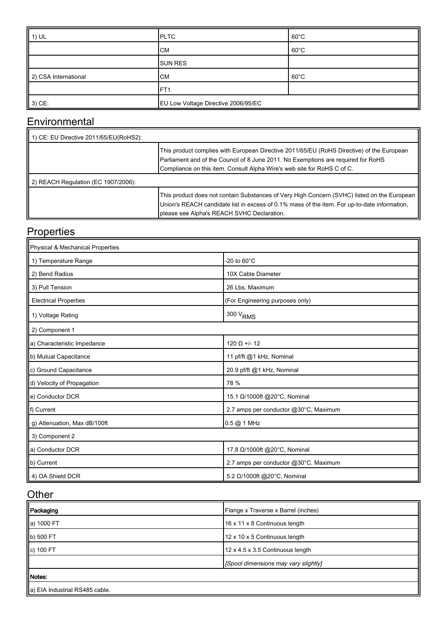| 1) UL                | <b>PLTC</b>                         | $60^{\circ}$ C |
|----------------------|-------------------------------------|----------------|
|                      | <b>CM</b>                           | $60^{\circ}$ C |
|                      | <b>SUN RES</b>                      |                |
| 2) CSA International | <b>CM</b>                           | $60^{\circ}$ C |
|                      | IFT1                                |                |
| $3)$ CE:             | EU Low Voltage Directive 2006/95/EC |                |

### **Environmental**

| 1) CE: EU Directive 2011/65/EU(RoHS2): |                                                                                                                                                                                                                                                           |
|----------------------------------------|-----------------------------------------------------------------------------------------------------------------------------------------------------------------------------------------------------------------------------------------------------------|
|                                        | This product complies with European Directive 2011/65/EU (RoHS Directive) of the European<br>Parliament and of the Council of 8 June 2011. No Exemptions are required for RoHS<br>Compliance on this item. Consult Alpha Wire's web site for RoHS C of C. |
| 2) REACH Regulation (EC 1907/2006):    |                                                                                                                                                                                                                                                           |
|                                        | This product does not contain Substances of Very High Concern (SVHC) listed on the European<br>Union's REACH candidate list in excess of 0.1% mass of the item. For up-to-date information,<br>please see Alpha's REACH SVHC Declaration.                 |

### **Properties**

| Physical & Mechanical Properties |                                       |  |  |  |
|----------------------------------|---------------------------------------|--|--|--|
| 1) Temperature Range             | -20 to 60 $^{\circ}$ C                |  |  |  |
| 2) Bend Radius                   | 10X Cable Diameter                    |  |  |  |
| 3) Pull Tension                  | 26 Lbs, Maximum                       |  |  |  |
| <b>Electrical Properties</b>     | (For Engineering purposes only)       |  |  |  |
| 1) Voltage Rating                | $300\,\mathrm{V}_{\mathrm{RMS}}$      |  |  |  |
| 2) Component 1                   |                                       |  |  |  |
| a) Characteristic Impedance      | $120 \Omega + 12$                     |  |  |  |
| b) Mutual Capacitance            | 11 pf/ft @1 kHz, Nominal              |  |  |  |
| c) Ground Capacitance            | 20.9 pf/ft @1 kHz, Nominal            |  |  |  |
| d) Velocity of Propagation       | 78 %                                  |  |  |  |
| e) Conductor DCR                 | 15.1 Ω/1000ft @20°C, Nominal          |  |  |  |
| f) Current                       | 2.7 amps per conductor @30°C, Maximum |  |  |  |
| g) Attenuation, Max dB/100ft     | $0.5$ @ 1 MHz                         |  |  |  |
| 3) Component 2                   |                                       |  |  |  |
| a) Conductor DCR                 | 17.8 Ω/1000ft @20°C, Nominal          |  |  |  |
| b) Current                       | 2.7 amps per conductor @30°C, Maximum |  |  |  |
| 4) OA Shield DCR                 | 5.2 Ω/1000ft @20°C, Nominal           |  |  |  |

#### **Other**

| Packaging                      | Flange x Traverse x Barrel (inches)  |
|--------------------------------|--------------------------------------|
| a) 1000 FT                     | 16 x 11 x 8 Continuous length        |
| b) 500 FT                      | 12 x 10 x 5 Continuous length        |
| c) 100 FT                      | 12 x 4.5 x 3.5 Continuous length     |
|                                | [Spool dimensions may vary slightly] |
| Motes:                         |                                      |
| a) EIA Industrial RS485 cable. |                                      |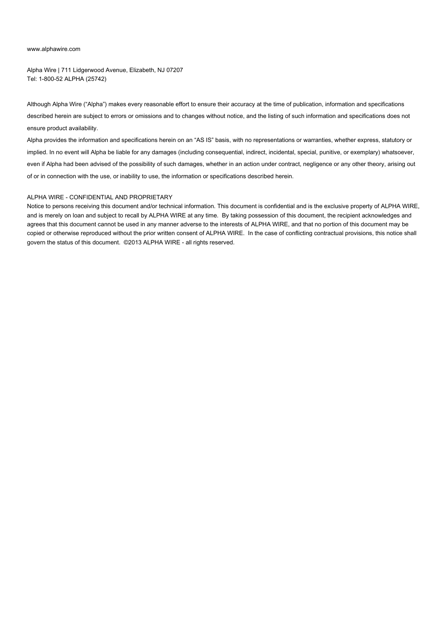#### [www.alphawire.com](http://www.alphawire.com)

Alpha Wire | 711 Lidgerwood Avenue, Elizabeth, NJ 07207 Tel: 1-800-52 ALPHA (25742)

Although Alpha Wire ("Alpha") makes every reasonable effort to ensure their accuracy at the time of publication, information and specifications described herein are subject to errors or omissions and to changes without notice, and the listing of such information and specifications does not ensure product availability.

Alpha provides the information and specifications herein on an "AS IS" basis, with no representations or warranties, whether express, statutory or implied. In no event will Alpha be liable for any damages (including consequential, indirect, incidental, special, punitive, or exemplary) whatsoever, even if Alpha had been advised of the possibility of such damages, whether in an action under contract, negligence or any other theory, arising out of or in connection with the use, or inability to use, the information or specifications described herein.

#### ALPHA WIRE - CONFIDENTIAL AND PROPRIETARY

Notice to persons receiving this document and/or technical information. This document is confidential and is the exclusive property of ALPHA WIRE, and is merely on loan and subject to recall by ALPHA WIRE at any time. By taking possession of this document, the recipient acknowledges and agrees that this document cannot be used in any manner adverse to the interests of ALPHA WIRE, and that no portion of this document may be copied or otherwise reproduced without the prior written consent of ALPHA WIRE. In the case of conflicting contractual provisions, this notice shall govern the status of this document. ©2013 ALPHA WIRE - all rights reserved.